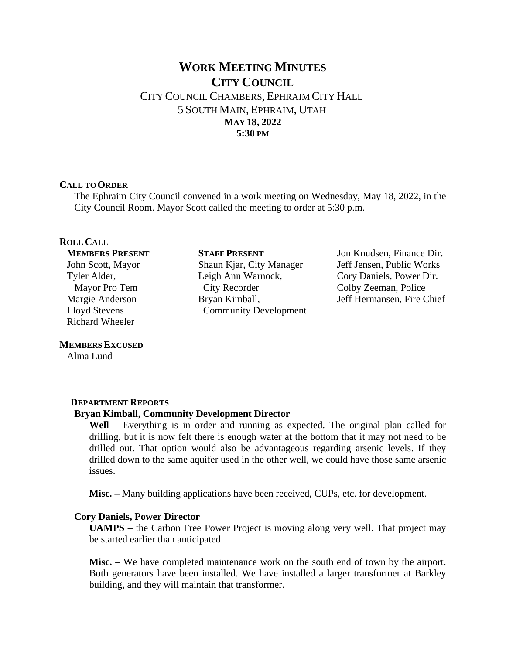# **WORK MEETING MINUTES CITY COUNCIL** CITY COUNCIL CHAMBERS, EPHRAIM CITY HALL 5 SOUTH MAIN, EPHRAIM, UTAH **MAY 18, 2022 5:30 PM**

### **CALL TO ORDER**

The Ephraim City Council convened in a work meeting on Wednesday, May 18, 2022, in the City Council Room. Mayor Scott called the meeting to order at 5:30 p.m.

# **ROLL CALL**

**MEMBERS PRESENT** John Scott, Mayor Tyler Alder, Mayor Pro Tem Margie Anderson Lloyd Stevens Richard Wheeler

#### **MEMBERS EXCUSED**

Alma Lund

# **DEPARTMENT REPORTS**

# **Bryan Kimball, Community Development Director**

**Well –** Everything is in order and running as expected. The original plan called for drilling, but it is now felt there is enough water at the bottom that it may not need to be drilled out. That option would also be advantageous regarding arsenic levels. If they drilled down to the same aquifer used in the other well, we could have those same arsenic issues.

**Misc.** – Many building applications have been received, CUPs, etc. for development.

#### **Cory Daniels, Power Director**

**UAMPS –** the Carbon Free Power Project is moving along very well. That project may be started earlier than anticipated.

**Misc. –** We have completed maintenance work on the south end of town by the airport. Both generators have been installed. We have installed a larger transformer at Barkley building, and they will maintain that transformer.

**STAFF PRESENT** Shaun Kjar, City Manager Leigh Ann Warnock, City Recorder Bryan Kimball, Community Development

Jon Knudsen, Finance Dir. Jeff Jensen, Public Works Cory Daniels, Power Dir. Colby Zeeman, Police Jeff Hermansen, Fire Chief